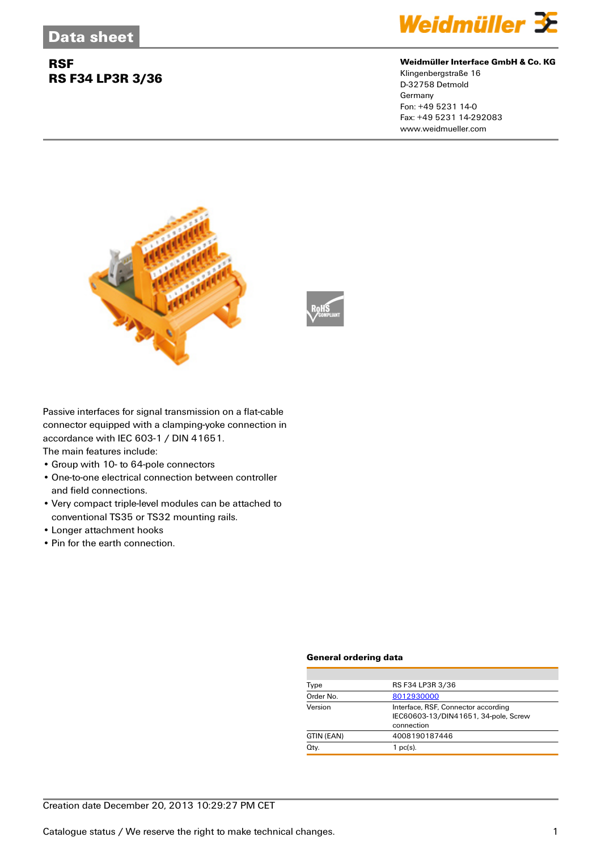## **RSF RS F34 LP3R 3/36**



#### **Weidmüller Interface GmbH & Co. KG**

Klingenbergstraße 16 D-32758 Detmold Germany Fon: +49 5231 14-0 Fax: +49 5231 14-292083 www.weidmueller.com



Passive interfaces for signal transmission on a flat-cable connector equipped with a clamping-yoke connection in accordance with IEC 603-1 / DIN 41651.

The main features include:

- Group with 10- to 64-pole connectors
- One-to-one electrical connection between controller and field connections.
- Very compact triple-level modules can be attached to conventional TS35 or TS32 mounting rails.
- Longer attachment hooks
- Pin for the earth connection.

#### **General ordering data**

| Type       | RS F34 LP3R 3/36                                                                          |  |
|------------|-------------------------------------------------------------------------------------------|--|
| Order No.  | 8012930000                                                                                |  |
| Version    | Interface, RSF, Connector according<br>IEC60603-13/DIN41651, 34-pole, Screw<br>connection |  |
| GTIN (EAN) | 4008190187446                                                                             |  |
| Qty.       | $1$ pc(s).                                                                                |  |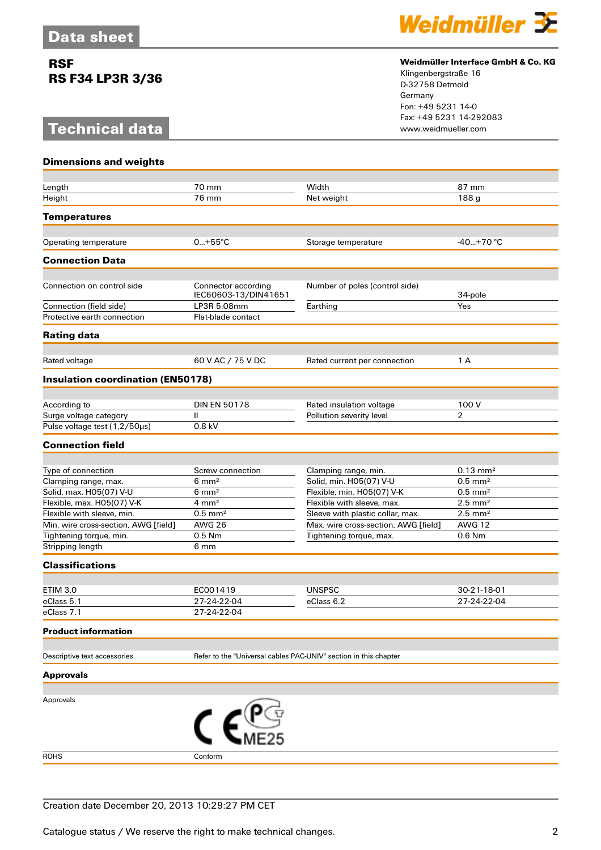## **RSF RS F34 LP3R 3/36**

# **Technical data**



### **Weidmüller Interface GmbH & Co. KG**

Klingenbergstraße 16 D-32758 Detmold Germany Fon: +49 5231 14-0 Fax: +49 5231 14-292083

| <b>Dimensions and weights</b>            |                                                                  |                                      |                            |  |
|------------------------------------------|------------------------------------------------------------------|--------------------------------------|----------------------------|--|
|                                          |                                                                  |                                      |                            |  |
| Length                                   | 70 mm                                                            | Width                                | 87 mm                      |  |
| Height                                   | 76 mm                                                            | Net weight                           | 188 g                      |  |
| <b>Temperatures</b>                      |                                                                  |                                      |                            |  |
| Operating temperature                    | $0+55^{\circ}C$                                                  | Storage temperature                  | $-40+70$ °C                |  |
| <b>Connection Data</b>                   |                                                                  |                                      |                            |  |
|                                          |                                                                  |                                      |                            |  |
| Connection on control side               | Connector according<br>IEC60603-13/DIN41651                      | Number of poles (control side)       | 34-pole                    |  |
| Connection (field side)                  | LP3R 5.08mm                                                      | Earthing                             | Yes                        |  |
| Protective earth connection              | Flat-blade contact                                               |                                      |                            |  |
| <b>Rating data</b>                       |                                                                  |                                      |                            |  |
| Rated voltage                            | 60 V AC / 75 V DC                                                | Rated current per connection         | 1 A                        |  |
|                                          |                                                                  |                                      |                            |  |
| <b>Insulation coordination (EN50178)</b> |                                                                  |                                      |                            |  |
| According to                             | <b>DIN EN 50178</b>                                              | Rated insulation voltage             | 100 V                      |  |
| Surge voltage category                   | Ш                                                                | Pollution severity level             | $\overline{2}$             |  |
| Pulse voltage test (1,2/50µs)            | 0.8 kV                                                           |                                      |                            |  |
| <b>Connection field</b>                  |                                                                  |                                      |                            |  |
|                                          |                                                                  |                                      |                            |  |
| Type of connection                       | Screw connection                                                 | Clamping range, min.                 | $0.13 \text{ mm}^2$        |  |
| Clamping range, max.                     | $6 \text{ mm}^2$                                                 | Solid, min. H05(07) V-U              | $0.5$ mm <sup>2</sup>      |  |
| Solid, max. H05(07) V-U                  | $6 \text{ mm}^2$                                                 | Flexible, min. H05(07) V-K           | $0.5$ mm <sup>2</sup>      |  |
| Flexible, max. H05(07) V-K               | $4 \, \text{mm}^2$                                               | Flexible with sleeve, max.           | $2.5$ mm <sup>2</sup>      |  |
| Flexible with sleeve, min.               | $0.5$ mm <sup>2</sup>                                            | Sleeve with plastic collar, max.     | $2.5$ mm <sup>2</sup>      |  |
| Min. wire cross-section, AWG [field]     | <b>AWG 26</b>                                                    | Max. wire cross-section, AWG [field] | <b>AWG 12</b>              |  |
| Tightening torque, min.                  | 0.5 Nm                                                           | Tightening torque, max.              | 0.6 Nm                     |  |
| Stripping length                         | 6 mm                                                             |                                      |                            |  |
| <b>Classifications</b>                   |                                                                  |                                      |                            |  |
| <b>ETIM 3.0</b>                          | EC001419                                                         | <b>UNSPSC</b>                        |                            |  |
| eClass 5.1                               | 27-24-22-04                                                      | eClass 6.2                           | 30-21-18-01<br>27-24-22-04 |  |
| eClass 7.1                               | 27-24-22-04                                                      |                                      |                            |  |
| <b>Product information</b>               |                                                                  |                                      |                            |  |
|                                          |                                                                  |                                      |                            |  |
| Descriptive text accessories             | Refer to the "Universal cables PAC-UNIV" section in this chapter |                                      |                            |  |
| <b>Approvals</b>                         |                                                                  |                                      |                            |  |
| Approvals                                |                                                                  |                                      |                            |  |
|                                          |                                                                  |                                      |                            |  |
|                                          |                                                                  |                                      |                            |  |
| <b>ROHS</b>                              | Conform                                                          |                                      |                            |  |
|                                          |                                                                  |                                      |                            |  |